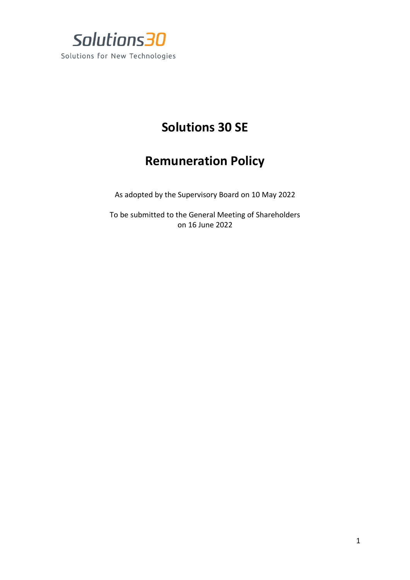

## **Solutions 30 SE**

## **Remuneration Policy**

As adopted by the Supervisory Board on 10 May 2022

To be submitted to the General Meeting of Shareholders on 16 June 2022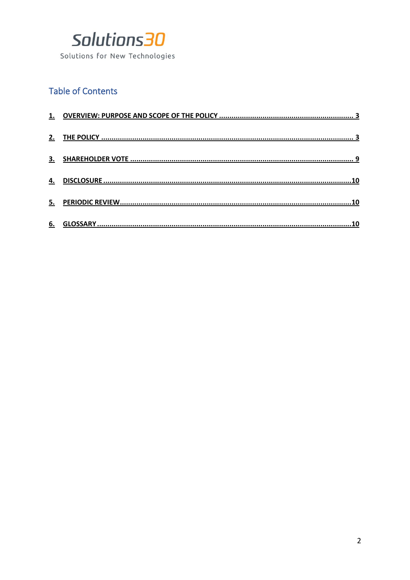

## **Table of Contents**

| 3. |  |
|----|--|
| 4. |  |
| 5. |  |
| 6. |  |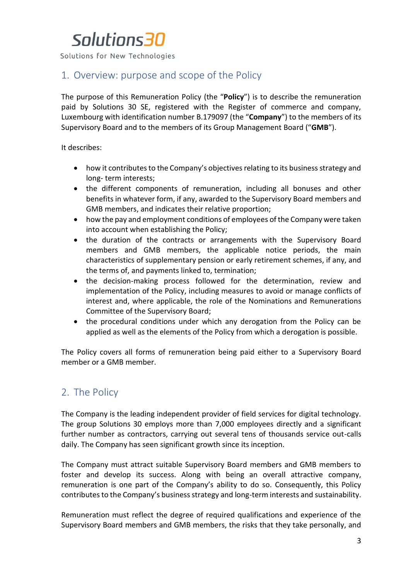Solutions for New Technologies

### <span id="page-2-0"></span>1. Overview: purpose and scope of the Policy

The purpose of this Remuneration Policy (the "**Policy**") is to describe the remuneration paid by Solutions 30 SE, registered with the Register of commerce and company, Luxembourg with identification number B.179097 (the "**Company**") to the members of its Supervisory Board and to the members of its Group Management Board ("**GMB**").

It describes:

- how it contributes to the Company's objectives relating to its business strategy and long- term interests;
- the different components of remuneration, including all bonuses and other benefits in whatever form, if any, awarded to the Supervisory Board members and GMB members, and indicates their relative proportion;
- how the pay and employment conditions of employees of the Company were taken into account when establishing the Policy;
- the duration of the contracts or arrangements with the Supervisory Board members and GMB members, the applicable notice periods, the main characteristics of supplementary pension or early retirement schemes, if any, and the terms of, and payments linked to, termination;
- the decision-making process followed for the determination, review and implementation of the Policy, including measures to avoid or manage conflicts of interest and, where applicable, the role of the Nominations and Remunerations Committee of the Supervisory Board;
- the procedural conditions under which any derogation from the Policy can be applied as well as the elements of the Policy from which a derogation is possible.

The Policy covers all forms of remuneration being paid either to a Supervisory Board member or a GMB member.

## <span id="page-2-1"></span>2. The Policy

The Company is the leading independent provider of field services for digital technology. The group Solutions 30 employs more than 7,000 employees directly and a significant further number as contractors, carrying out several tens of thousands service out-calls daily. The Company has seen significant growth since its inception.

The Company must attract suitable Supervisory Board members and GMB members to foster and develop its success. Along with being an overall attractive company, remuneration is one part of the Company's ability to do so. Consequently, this Policy contributes to the Company's business strategy and long-term interests and sustainability.

Remuneration must reflect the degree of required qualifications and experience of the Supervisory Board members and GMB members, the risks that they take personally, and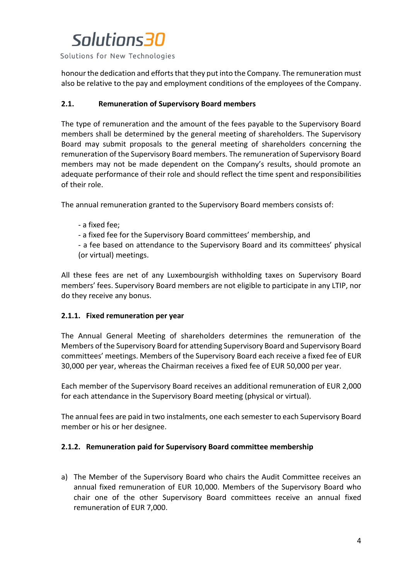Solutions for New Technologies

honour the dedication and efforts that they put into the Company. The remuneration must also be relative to the pay and employment conditions of the employees of the Company.

#### **2.1. Remuneration of Supervisory Board members**

The type of remuneration and the amount of the fees payable to the Supervisory Board members shall be determined by the general meeting of shareholders. The Supervisory Board may submit proposals to the general meeting of shareholders concerning the remuneration of the Supervisory Board members. The remuneration of Supervisory Board members may not be made dependent on the Company's results, should promote an adequate performance of their role and should reflect the time spent and responsibilities of their role.

The annual remuneration granted to the Supervisory Board members consists of:

- a fixed fee;
- a fixed fee for the Supervisory Board committees' membership, and

- a fee based on attendance to the Supervisory Board and its committees' physical (or virtual) meetings.

All these fees are net of any Luxembourgish withholding taxes on Supervisory Board members' fees. Supervisory Board members are not eligible to participate in any LTIP, nor do they receive any bonus.

#### **2.1.1. Fixed remuneration per year**

The Annual General Meeting of shareholders determines the remuneration of the Members of the Supervisory Board for attending Supervisory Board and Supervisory Board committees' meetings. Members of the Supervisory Board each receive a fixed fee of EUR 30,000 per year, whereas the Chairman receives a fixed fee of EUR 50,000 per year.

Each member of the Supervisory Board receives an additional remuneration of EUR 2,000 for each attendance in the Supervisory Board meeting (physical or virtual).

The annual fees are paid in two instalments, one each semester to each Supervisory Board member or his or her designee.

#### **2.1.2. Remuneration paid for Supervisory Board committee membership**

a) The Member of the Supervisory Board who chairs the Audit Committee receives an annual fixed remuneration of EUR 10,000. Members of the Supervisory Board who chair one of the other Supervisory Board committees receive an annual fixed remuneration of EUR 7,000.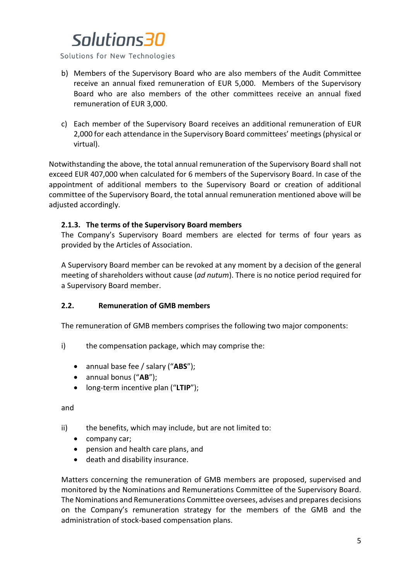Solutions for New Technologies

- b) Members of the Supervisory Board who are also members of the Audit Committee receive an annual fixed remuneration of EUR 5,000. Members of the Supervisory Board who are also members of the other committees receive an annual fixed remuneration of EUR 3,000.
- c) Each member of the Supervisory Board receives an additional remuneration of EUR 2,000 for each attendance in the Supervisory Board committees' meetings (physical or virtual).

Notwithstanding the above, the total annual remuneration of the Supervisory Board shall not exceed EUR 407,000 when calculated for 6 members of the Supervisory Board. In case of the appointment of additional members to the Supervisory Board or creation of additional committee of the Supervisory Board, the total annual remuneration mentioned above will be adjusted accordingly.

#### **2.1.3. The terms of the Supervisory Board members**

The Company's Supervisory Board members are elected for terms of four years as provided by the Articles of Association.

A Supervisory Board member can be revoked at any moment by a decision of the general meeting of shareholders without cause (*ad nutum*). There is no notice period required for a Supervisory Board member.

#### **2.2. Remuneration of GMB members**

The remuneration of GMB members comprises the following two major components:

- i) the compensation package, which may comprise the:
	- annual base fee / salary ("**ABS**");
	- annual bonus ("**AB**");
	- long-term incentive plan ("**LTIP**");

and

- ii) the benefits, which may include, but are not limited to:
	- company car;
	- pension and health care plans, and
	- death and disability insurance.

Matters concerning the remuneration of GMB members are proposed, supervised and monitored by the Nominations and Remunerations Committee of the Supervisory Board. The Nominations and Remunerations Committee oversees, advises and prepares decisions on the Company's remuneration strategy for the members of the GMB and the administration of stock-based compensation plans.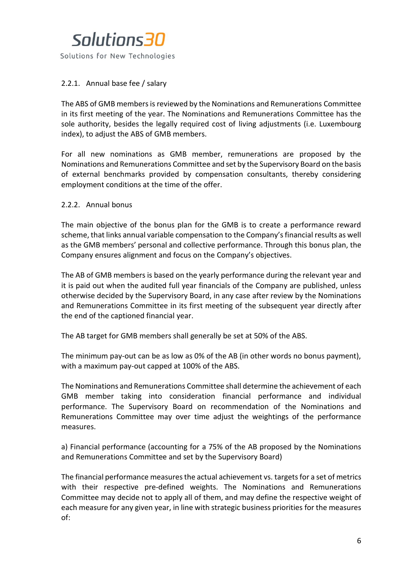

#### 2.2.1. Annual base fee / salary

The ABS of GMB members is reviewed by the Nominations and Remunerations Committee in its first meeting of the year. The Nominations and Remunerations Committee has the sole authority, besides the legally required cost of living adjustments (i.e. Luxembourg index), to adjust the ABS of GMB members.

For all new nominations as GMB member, remunerations are proposed by the Nominations and Remunerations Committee and set by the Supervisory Board on the basis of external benchmarks provided by compensation consultants, thereby considering employment conditions at the time of the offer.

#### 2.2.2. Annual bonus

The main objective of the bonus plan for the GMB is to create a performance reward scheme, that links annual variable compensation to the Company's financial results as well as the GMB members' personal and collective performance. Through this bonus plan, the Company ensures alignment and focus on the Company's objectives.

The AB of GMB members is based on the yearly performance during the relevant year and it is paid out when the audited full year financials of the Company are published, unless otherwise decided by the Supervisory Board, in any case after review by the Nominations and Remunerations Committee in its first meeting of the subsequent year directly after the end of the captioned financial year.

The AB target for GMB members shall generally be set at 50% of the ABS.

The minimum pay-out can be as low as 0% of the AB (in other words no bonus payment), with a maximum pay-out capped at 100% of the ABS.

The Nominations and Remunerations Committee shall determine the achievement of each GMB member taking into consideration financial performance and individual performance. The Supervisory Board on recommendation of the Nominations and Remunerations Committee may over time adjust the weightings of the performance measures.

a) Financial performance (accounting for a 75% of the AB proposed by the Nominations and Remunerations Committee and set by the Supervisory Board)

The financial performance measures the actual achievement vs. targets for a set of metrics with their respective pre-defined weights. The Nominations and Remunerations Committee may decide not to apply all of them, and may define the respective weight of each measure for any given year, in line with strategic business priorities for the measures of: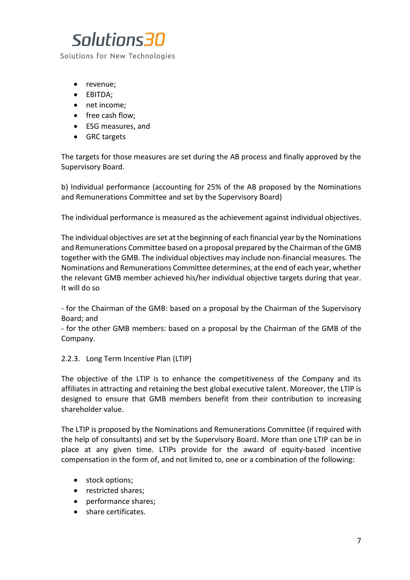

- revenue;
- EBITDA;
- net income;
- free cash flow;
- ESG measures, and
- GRC targets

The targets for those measures are set during the AB process and finally approved by the Supervisory Board.

b) Individual performance (accounting for 25% of the AB proposed by the Nominations and Remunerations Committee and set by the Supervisory Board)

The individual performance is measured as the achievement against individual objectives.

The individual objectives are set at the beginning of each financial year by the Nominations and Remunerations Committee based on a proposal prepared by the Chairman of the GMB together with the GMB. The individual objectives may include non-financial measures. The Nominations and Remunerations Committee determines, at the end of each year, whether the relevant GMB member achieved his/her individual objective targets during that year. It will do so

- for the Chairman of the GMB: based on a proposal by the Chairman of the Supervisory Board; and

- for the other GMB members: based on a proposal by the Chairman of the GMB of the Company.

#### 2.2.3. Long Term Incentive Plan (LTIP)

The objective of the LTIP is to enhance the competitiveness of the Company and its affiliates in attracting and retaining the best global executive talent. Moreover, the LTIP is designed to ensure that GMB members benefit from their contribution to increasing shareholder value.

The LTIP is proposed by the Nominations and Remunerations Committee (if required with the help of consultants) and set by the Supervisory Board. More than one LTIP can be in place at any given time. LTIPs provide for the award of equity-based incentive compensation in the form of, and not limited to, one or a combination of the following:

- stock options;
- restricted shares;
- performance shares;
- share certificates.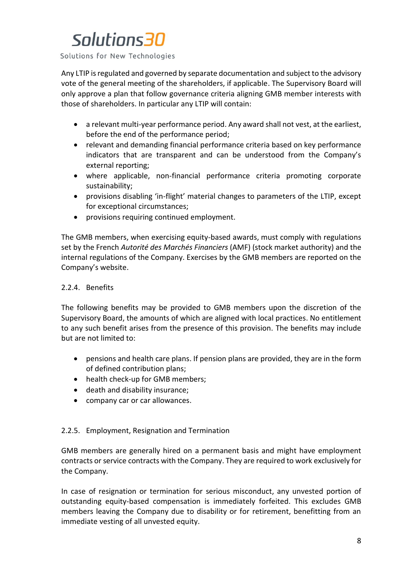Solutions for New Technologies

Any LTIP is regulated and governed by separate documentation and subject to the advisory vote of the general meeting of the shareholders, if applicable. The Supervisory Board will only approve a plan that follow governance criteria aligning GMB member interests with those of shareholders. In particular any LTIP will contain:

- a relevant multi-year performance period. Any award shall not vest, at the earliest, before the end of the performance period;
- relevant and demanding financial performance criteria based on key performance indicators that are transparent and can be understood from the Company's external reporting;
- where applicable, non-financial performance criteria promoting corporate sustainability;
- provisions disabling 'in-flight' material changes to parameters of the LTIP, except for exceptional circumstances;
- provisions requiring continued employment.

The GMB members, when exercising equity-based awards, must comply with regulations set by the French *Autorité des Marchés Financiers* (AMF) (stock market authority) and the internal regulations of the Company. Exercises by the GMB members are reported on the Company's website.

#### 2.2.4. Benefits

The following benefits may be provided to GMB members upon the discretion of the Supervisory Board, the amounts of which are aligned with local practices. No entitlement to any such benefit arises from the presence of this provision. The benefits may include but are not limited to:

- pensions and health care plans. If pension plans are provided, they are in the form of defined contribution plans;
- health check-up for GMB members;
- death and disability insurance;
- company car or car allowances.

#### 2.2.5. Employment, Resignation and Termination

GMB members are generally hired on a permanent basis and might have employment contracts or service contracts with the Company. They are required to work exclusively for the Company.

In case of resignation or termination for serious misconduct, any unvested portion of outstanding equity-based compensation is immediately forfeited. This excludes GMB members leaving the Company due to disability or for retirement, benefitting from an immediate vesting of all unvested equity.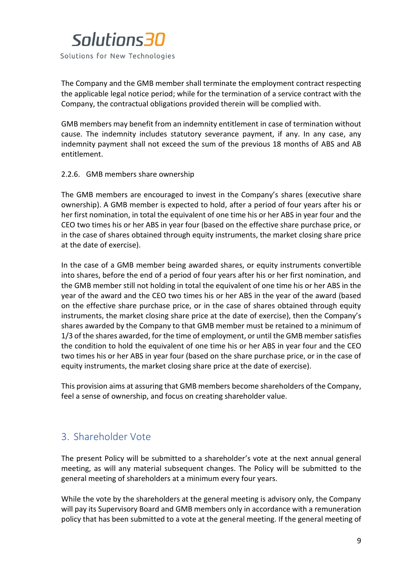

The Company and the GMB member shall terminate the employment contract respecting the applicable legal notice period; while for the termination of a service contract with the Company, the contractual obligations provided therein will be complied with.

GMB members may benefit from an indemnity entitlement in case of termination without cause. The indemnity includes statutory severance payment, if any. In any case, any indemnity payment shall not exceed the sum of the previous 18 months of ABS and AB entitlement.

#### 2.2.6. GMB members share ownership

The GMB members are encouraged to invest in the Company's shares (executive share ownership). A GMB member is expected to hold, after a period of four years after his or her first nomination, in total the equivalent of one time his or her ABS in year four and the CEO two times his or her ABS in year four (based on the effective share purchase price, or in the case of shares obtained through equity instruments, the market closing share price at the date of exercise).

In the case of a GMB member being awarded shares, or equity instruments convertible into shares, before the end of a period of four years after his or her first nomination, and the GMB member still not holding in total the equivalent of one time his or her ABS in the year of the award and the CEO two times his or her ABS in the year of the award (based on the effective share purchase price, or in the case of shares obtained through equity instruments, the market closing share price at the date of exercise), then the Company's shares awarded by the Company to that GMB member must be retained to a minimum of 1/3 of the shares awarded, for the time of employment, or until the GMB member satisfies the condition to hold the equivalent of one time his or her ABS in year four and the CEO two times his or her ABS in year four (based on the share purchase price, or in the case of equity instruments, the market closing share price at the date of exercise).

This provision aims at assuring that GMB members become shareholders of the Company, feel a sense of ownership, and focus on creating shareholder value.

## <span id="page-8-0"></span>3. Shareholder Vote

The present Policy will be submitted to a shareholder's vote at the next annual general meeting, as will any material subsequent changes. The Policy will be submitted to the general meeting of shareholders at a minimum every four years.

While the vote by the shareholders at the general meeting is advisory only, the Company will pay its Supervisory Board and GMB members only in accordance with a remuneration policy that has been submitted to a vote at the general meeting. If the general meeting of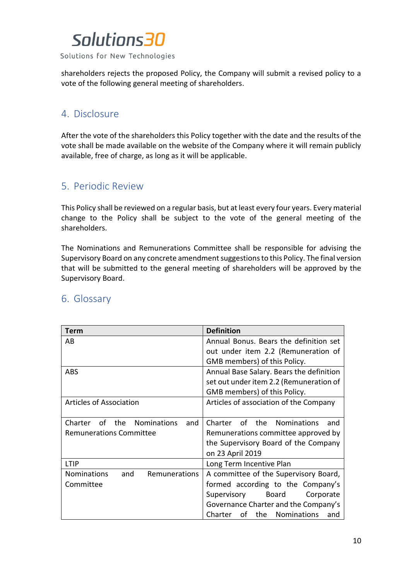

shareholders rejects the proposed Policy, the Company will submit a revised policy to a vote of the following general meeting of shareholders.

### <span id="page-9-0"></span>4. Disclosure

After the vote of the shareholders this Policy together with the date and the results of the vote shall be made available on the website of the Company where it will remain publicly available, free of charge, as long as it will be applicable.

### <span id="page-9-1"></span>5. Periodic Review

This Policy shall be reviewed on a regular basis, but at least every four years. Every material change to the Policy shall be subject to the vote of the general meeting of the shareholders.

The Nominations and Remunerations Committee shall be responsible for advising the Supervisory Board on any concrete amendment suggestions to this Policy. The final version that will be submitted to the general meeting of shareholders will be approved by the Supervisory Board.

| Term                                              | <b>Definition</b>                        |  |  |
|---------------------------------------------------|------------------------------------------|--|--|
| AB                                                | Annual Bonus. Bears the definition set   |  |  |
|                                                   | out under item 2.2 (Remuneration of      |  |  |
|                                                   | GMB members) of this Policy.             |  |  |
| <b>ABS</b>                                        | Annual Base Salary. Bears the definition |  |  |
|                                                   | set out under item 2.2 (Remuneration of  |  |  |
|                                                   | GMB members) of this Policy.             |  |  |
| Articles of Association                           | Articles of association of the Company   |  |  |
|                                                   |                                          |  |  |
| of the Nominations<br>Charter<br>and              | of the Nominations<br>Charter<br>and     |  |  |
| <b>Remunerations Committee</b>                    | Remunerations committee approved by      |  |  |
|                                                   | the Supervisory Board of the Company     |  |  |
|                                                   | on 23 April 2019                         |  |  |
| LTIP                                              | Long Term Incentive Plan                 |  |  |
| <b>Nominations</b><br><b>Remunerations</b><br>and | A committee of the Supervisory Board,    |  |  |
| Committee                                         | formed according to the Company's        |  |  |
|                                                   | Supervisory<br>Board<br>Corporate        |  |  |
|                                                   | Governance Charter and the Company's     |  |  |
|                                                   | the Nominations<br>Charter<br>οf<br>and  |  |  |

### <span id="page-9-2"></span>6. Glossary